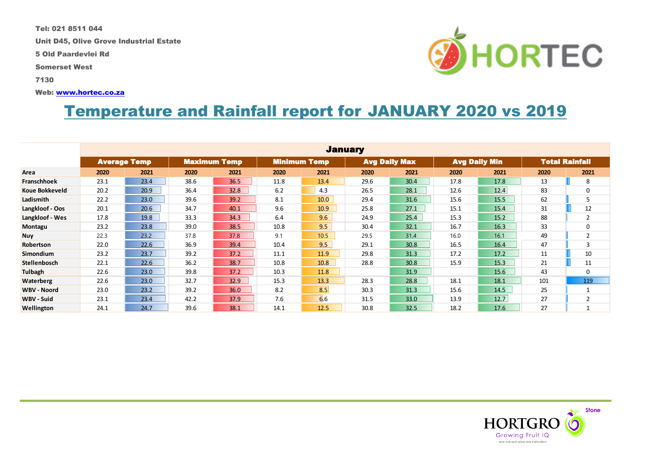Tel: 021 8511 044

Unit D45, Olive Grove Industrial Estate

5 Old Paardevlei Rd

Somerset West

7130

Web: [www.hortec.co.za](http://www.hortec.co.za/)

# Temperature and Rainfall report for JANUARY 2020 vs 2019

|                    |                     |      |      |                     |      | <b>January</b>      |      |                      |                      |      |                       |                |
|--------------------|---------------------|------|------|---------------------|------|---------------------|------|----------------------|----------------------|------|-----------------------|----------------|
|                    | <b>Average Temp</b> |      |      | <b>Maximum Temp</b> |      | <b>Minimum Temp</b> |      | <b>Avg Daily Max</b> | <b>Avg Daily Min</b> |      | <b>Total Rainfall</b> |                |
| Area               | 2020                | 2021 | 2020 | 2021                | 2020 | 2021                | 2020 | 2021                 | 2020                 | 2021 | 2020                  | 2021           |
| <b>Franschhoek</b> | 23.1                | 23.4 | 38.6 | 36.5                | 11.8 | 13.4                | 29.6 | 30.4                 | 17.8                 | 17.8 | 13                    | 8              |
| Koue Bokkeveld     | 20.2                | 20.9 | 36.4 | 32.8                | 6.2  | 4.3                 | 26.5 | 28.1                 | 12.6                 | 12.4 | 83                    | 0              |
| Ladismith          | 22.2                | 23.0 | 39.6 | 39.2                | 8.1  | 10.0                | 29.4 | 31.6                 | 15.6                 | 15.5 | 62                    | 5              |
| Langkloof - Oos    | 20.1                | 20.6 | 34.7 | 40.1                | 9.6  | 10.9                | 25.8 | 27.1                 | 15.1                 | 15.4 | 31                    | 12             |
| Langkloof - Wes    | 17.8                | 19.8 | 33.3 | 34.3                | 6.4  | 9.6                 | 24.9 | 25.4                 | 15.3                 | 15.2 | 88                    | 2              |
| Montagu            | 23.2                | 23.8 | 39.0 | 38.5                | 10.8 | 9.5                 | 30.4 | 32.1                 | 16.7                 | 16.3 | 33                    | 0              |
| <b>Nuy</b>         | 22.3                | 23.2 | 37.8 | 37.8                | 9.1  | 10.5                | 29.5 | 31.4                 | 16.0                 | 16.1 | 49                    | $\overline{2}$ |
| Robertson          | 22.0                | 22.6 | 36.9 | 39.4                | 10.4 | 9.5                 | 29.1 | 30.8                 | 16.5                 | 16.4 | 47                    | 3              |
| Simondium          | 23.2                | 23.7 | 39.2 | 37.2                | 11.1 | 11.9                | 29.8 | 31.3                 | 17.2                 | 17.2 | 11                    | 10             |
| Stellenbosch       | 22.1                | 22.6 | 36.2 | 38.7                | 10.8 | 10.8                | 28.8 | 30.8                 | 15.9                 | 15.3 | 21                    | 11             |
| Tulbagh            | 22.6                | 23.0 | 39.8 | 37.2                | 10.3 | 11.8                |      | 31.9                 |                      | 15.6 | 43                    | $\Omega$       |
| <b>Waterberg</b>   | 22.6                | 23.0 | 32.7 | 32.9                | 15.3 | 13.3                | 28.3 | 28.8                 | 18.1                 | 18.1 | 101                   | 119            |
| <b>WBV - Noord</b> | 23.0                | 23.2 | 39.2 | 36.0                | 8.2  | 8.5                 | 30.3 | 31.3                 | 15.6                 | 14.5 | 25                    |                |
| WBV - Suid         | 23.1                | 23.4 | 42.2 | 37.9                | 7.6  | 6.6                 | 31.5 | 33.0                 | 13.9                 | 12.7 | 27                    | 2              |
| Wellington         | 24.1                | 24.7 | 39.6 | 38.1                | 14.1 | 12.5                | 30.8 | 32.5                 | 18.2                 | 17.6 | 27                    |                |



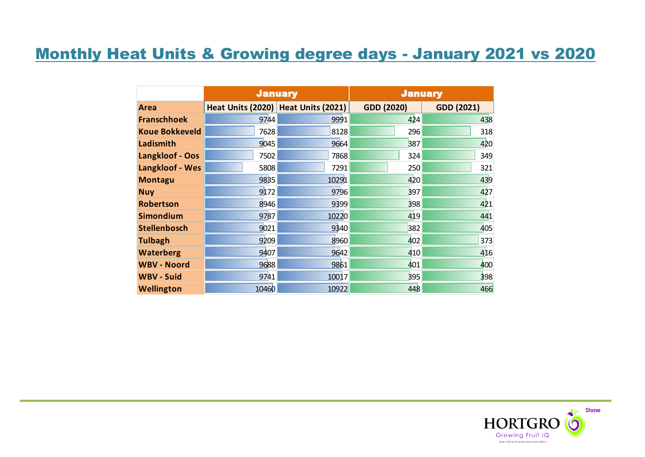# Monthly Heat Units & Growing degree days - January 2021 vs 2020

|                       |       | <b>January</b>                      | <b>January</b>    |                   |  |  |
|-----------------------|-------|-------------------------------------|-------------------|-------------------|--|--|
| <b>Area</b>           |       | Heat Units (2020) Heat Units (2021) | <b>GDD (2020)</b> | <b>GDD (2021)</b> |  |  |
| <b>Franschhoek</b>    | 9744  | 9991                                | 424               | 438               |  |  |
| <b>Koue Bokkeveld</b> | 7628  | 8128                                | 296               | 318               |  |  |
| Ladismith             | 9045  | 9664                                | 387               | 420               |  |  |
| Langkloof - Oos       | 7502  | 7868                                | 324               | 349               |  |  |
| Langkloof - Wes       | 5808  | 7291                                | 250               | 321               |  |  |
| <b>Montagu</b>        | 9835  | 10291                               | 420               | 439               |  |  |
| <b>Nuy</b>            | 9172  | 9796                                | 397               | 427               |  |  |
| <b>Robertson</b>      | 8946  | 9399                                | 398               | 421               |  |  |
| <b>Simondium</b>      | 9787  | 10220                               | 419               | 441               |  |  |
| <b>Stellenbosch</b>   | 9021  | 9340                                | 382               | 405               |  |  |
| <b>Tulbagh</b>        | 9209  | 8960                                | 402               | 373               |  |  |
| <b>Waterberg</b>      | 9407  | 9642                                | 410               | 416               |  |  |
| <b>WBV - Noord</b>    | 9688  | 9861                                | 401               | 400               |  |  |
| <b>WBV - Suid</b>     | 9741  | 10017                               | 395               | 398               |  |  |
| <b>Wellington</b>     | 10460 | 10922                               | 448               | 466               |  |  |

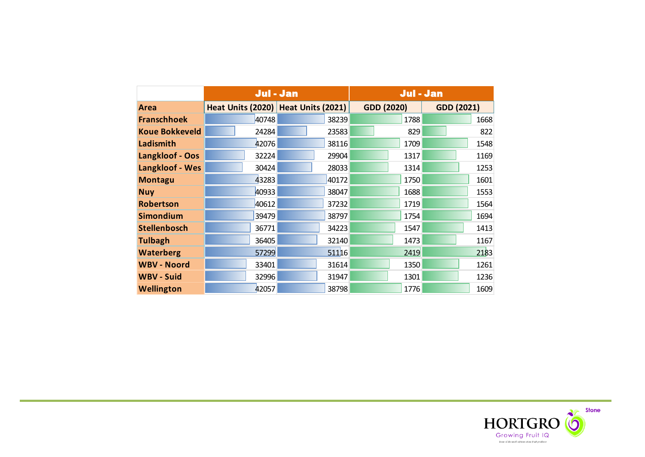|                       | Jul - Jan |                                     | Jul - Jan         |                   |  |
|-----------------------|-----------|-------------------------------------|-------------------|-------------------|--|
| Area                  |           | Heat Units (2020) Heat Units (2021) | <b>GDD (2020)</b> | <b>GDD (2021)</b> |  |
| <b>Franschhoek</b>    | 40748     | 38239                               | 1788              | 1668              |  |
| <b>Koue Bokkeveld</b> | 24284     | 23583                               | 829               | 822               |  |
| Ladismith             | 42076     | 38116                               | 1709              | 1548              |  |
| Langkloof - Oos       | 32224     | 29904                               | 1317              | 1169              |  |
| Langkloof - Wes       | 30424     | 28033                               | 1314              | 1253              |  |
| <b>Montagu</b>        | 43283     | 40172                               | 1750              | 1601              |  |
| <b>Nuy</b>            | 40933     | 38047                               | 1688              | 1553              |  |
| <b>Robertson</b>      | 40612     | 37232                               | 1719              | 1564              |  |
| <b>Simondium</b>      | 39479     | 38797                               | 1754              | 1694              |  |
| <b>Stellenbosch</b>   | 36771     | 34223                               | 1547              | 1413              |  |
| <b>Tulbagh</b>        | 36405     | 32140                               | 1473              | 1167              |  |
| <b>Waterberg</b>      | 57299     | 51116                               | 2419              | 2183              |  |
| <b>WBV - Noord</b>    | 33401     | 31614                               | 1350              | 1261              |  |
| <b>WBV - Suid</b>     | 32996     | 31947                               | 1301              | 1236              |  |
| <b>Wellington</b>     | 42057     | 38798                               | 1776              | 1609              |  |

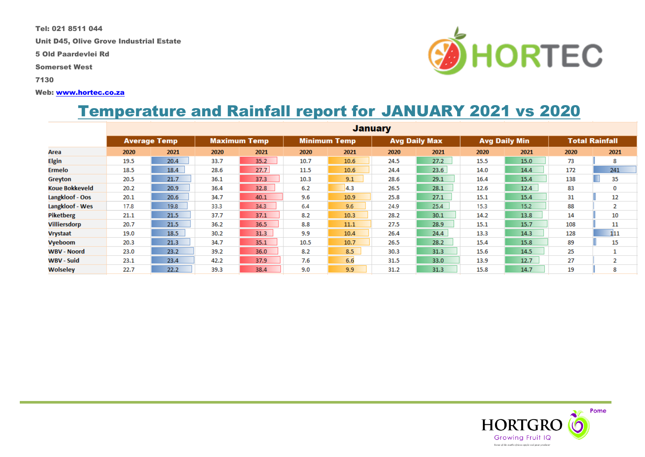Tel: 021 8511 044

Unit D45, Olive Grove Industrial Estate

5 Old Paardevlei Rd

Somerset West

7130

#### Web: [www.hortec.co.za](http://www.hortec.co.za/)

## Temperature and Rainfall report for JANUARY 2021 vs 2020

|                       |      |                     |      |                     |      |                     | <b>January</b> |                      |      |                      |      |                       |
|-----------------------|------|---------------------|------|---------------------|------|---------------------|----------------|----------------------|------|----------------------|------|-----------------------|
|                       |      | <b>Average Temp</b> |      | <b>Maximum Temp</b> |      | <b>Minimum Temp</b> |                | <b>Avg Daily Max</b> |      | <b>Avg Daily Min</b> |      | <b>Total Rainfall</b> |
| Area                  | 2020 | 2021                | 2020 | 2021                | 2020 | 2021                | 2020           | 2021                 | 2020 | 2021                 | 2020 | 2021                  |
| Elgin                 | 19.5 | 20.4                | 33.7 | 35.2                | 10.7 | 10.6                | 24.5           | 27.2                 | 15.5 | 15.0                 | 73   | 8                     |
| Ermelo                | 18.5 | 18.4                | 28.6 | 27.7                | 11.5 | 10.6                | 24.4           | 23.6                 | 14.0 | 14.4                 | 172  | 241                   |
| Greyton               | 20.5 | 21.7                | 36.1 | 37.3                | 10.3 | 9.1                 | 28.6           | 29.1                 | 16.4 | 15.4                 | 138  | 35                    |
| <b>Koue Bokkeveld</b> | 20.2 | 20.9                | 36.4 | 32.8                | 6.2  | 4.3                 | 26.5           | 28.1                 | 12.6 | 12.4                 | 83   | 0                     |
| Langkloof - Oos       | 20.1 | 20.6                | 34.7 | 40.1                | 9.6  | 10.9                | 25.8           | 27.1                 | 15.1 | 15.4                 | 31   | 12                    |
| Langkloof - Wes       | 17.8 | 19.8                | 33.3 | 34.3                | 6.4  | 9.6                 | 24.9           | 25.4                 | 15.3 | 15.2                 | 88   | 2                     |
| Piketberg             | 21.1 | 21.5                | 37.7 | 37.1                | 8.2  | 10.3                | 28.2           | 30.1                 | 14.2 | 13.8                 | 14   | 10                    |
| <b>Villiersdorp</b>   | 20.7 | 21.5                | 36.2 | 36.5                | 8.8  | 11.1                | 27.5           | 28.9                 | 15.1 | 15.7                 | 108  | 11                    |
| <b>Vrystaat</b>       | 19.0 | 18.5                | 30.2 | 31.3                | 9.9  | 10.4                | 26.4           | 24.4                 | 13.3 | 14.3                 | 128  | 111                   |
| <b>Vyeboom</b>        | 20.3 | 21.3                | 34.7 | 35.1                | 10.5 | 10.7                | 26.5           | 28.2                 | 15.4 | 15.8                 | 89   | 15                    |
| <b>WBV - Noord</b>    | 23.0 | 23.2                | 39.2 | 36.0                | 8.2  | 8.5                 | 30.3           | 31.3                 | 15.6 | 14.5                 | 25   |                       |
| <b>WBV - Suid</b>     | 23.1 | 23.4                | 42.2 | 37.9                | 7.6  | 6.6                 | 31.5           | 33.0                 | 13.9 | 12.7                 | 27   | 2                     |
| Wolseley              | 22.7 | 22.2                | 39.3 | 38.4                | 9.0  | 9.9                 | 31.2           | 31.3                 | 15.8 | 14.7                 | 19   | 8                     |